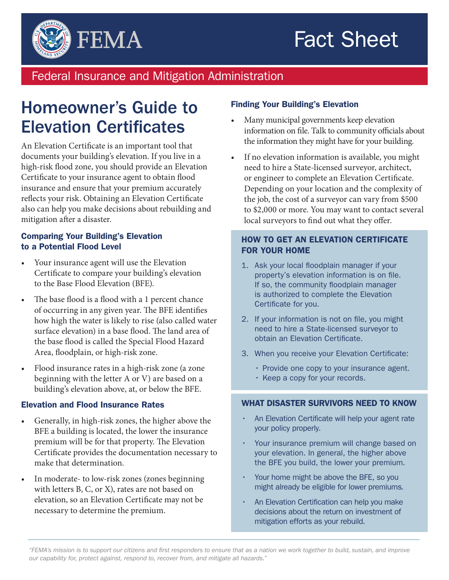# Fact Sheet



### Federal Insurance and Mitigation Administration

## Homeowner's Guide to Elevation Certificates

An Elevation Certificate is an important tool that documents your building's elevation. If you live in a high-risk flood zone, you should provide an Elevation Certificate to your insurance agent to obtain flood insurance and ensure that your premium accurately reflects your risk. Obtaining an Elevation Certificate also can help you make decisions about rebuilding and mitigation after a disaster.

#### Comparing Your Building's Elevation to a Potential Flood Level

- Your insurance agent will use the Elevation Certificate to compare your building's elevation to the Base Flood Elevation (BFE).
- The base flood is a flood with a 1 percent chance of occurring in any given year. The BFE identifies how high the water is likely to rise (also called water surface elevation) in a base flood. The land area of the base flood is called the Special Flood Hazard Area, floodplain, or high-risk zone.
- • Flood insurance rates in a high-risk zone (a zone beginning with the letter A or V) are based on a building's elevation above, at, or below the BFE.

#### Elevation and Flood Insurance Rates

- Generally, in high-risk zones, the higher above the BFE a building is located, the lower the insurance premium will be for that property. The Elevation Certificate provides the documentation necessary to make that determination.
- In moderate- to low-risk zones (zones beginning with letters B, C, or X), rates are not based on elevation, so an Elevation Certificate may not be necessary to determine the premium.

#### Finding Your Building's Elevation

- Many municipal governments keep elevation information on file. Talk to community officials about the information they might have for your building.
- If no elevation information is available, you might need to hire a State-licensed surveyor, architect, or engineer to complete an Elevation Certificate. Depending on your location and the complexity of the job, the cost of a surveyor can vary from \$500 to \$2,000 or more. You may want to contact several local surveyors to find out what they offer.

#### HOW TO GET AN ELEVATION CERTIFICATE FOR YOUR HOME

- 1. Ask your local floodplain manager if your property's elevation information is on file. If so, the community floodplain manager is authorized to complete the Elevation Certificate for you.
- 2. If your information is not on file, you might need to hire a State-licensed surveyor to obtain an Elevation Certificate.
- 3. When you receive your Elevation Certificate:
	- Provide one copy to your insurance agent.
	- Keep a copy for your records.

#### WHAT DISASTER SURVIVORS NEED TO KNOW

- An Elevation Certificate will help your agent rate your policy properly.
- Your insurance premium will change based on your elevation. In general, the higher above the BFE you build, the lower your premium.
- Your home might be above the BFE, so you might already be eligible for lower premiums.
- An Elevation Certification can help you make decisions about the return on investment of mitigation efforts as your rebuild.

*<sup>&</sup>quot;FEMA's mission is to support our citizens and first responders to ensure that as a nation we work together to build, sustain, and improve our capability for, protect against, respond to, recover from, and mitigate all hazards."*